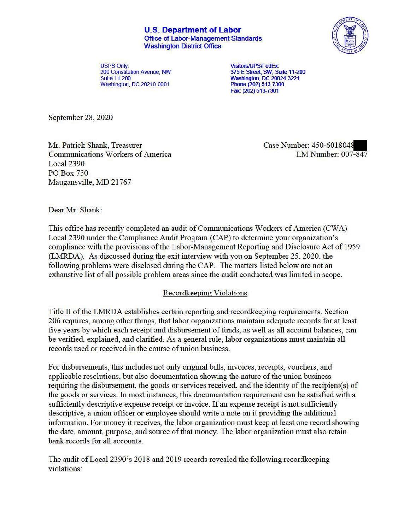**U.S. Department of Labor**  Office of Labor-Management Standards Washington District Office



USPS Only: **Visitors/UPS/FedEx: Washington, DC 20210-0001** 

200 Constitution Avenue, tffl 375 E **Street, SW, Suite 11-200**  Washington, DC 20024-3221<br>Phone (202) 513-7300 **Fax:** (202) **513-7301** 

September 28, 2020

Mr. Patrick Shank, Treasurer Case Number: 450-6018048 Communications Workers ofAmerica LM Number: 007-847 Local 2390 PO Box 730 Maugansville, MD 21767

Dear Mr. Shank:

This office has recently completed an audit of Communications Workers of America (CWA) Local 2390 under the Compliance Audit Program (CAP) to detennine your organization's compliance with the provisions of the Labor-Management Reporting and Disclosure Act of 1959 (LMRDA). As discussed during the exit interview with you on September 25, 2020, the following problems were disclosed during the CAP. The matters listed below are not an exhaustive list of all possible problem areas since the audit conducted was limited in scope.

## Recordkeeping Violations

Title II of the LMRDA establishes certain reporting and record keeping requirements. Section 206 requires, among other things, that labor organizations maintain adequate records for at least five years by which each receipt and disbursement of funds, as well as all account balances, can be verified, explained, and clarified. As a general rule, labor organizations must maintain all records used or received in the course of union business.

For disbursements, this includes not only original bills, invoices, receipts, vouchers, and applicable resolutions, but also documentation showing the nature of the union business requiring the disbursement, the goods or services received, and the identity of the recipient(s) of the goods or services. In most instances, this documentation requirement can be satisfied with a sufficiently descriptive expense receipt or invoice. If an expense receipt is not sufficiently descriptive, a union officer or employee should write a note on it providing the additional information. For money it receives, the labor organization must keep at least one record showing the date, amount, purpose, and source of that money. The labor organization must also retain bank records for all accounts.

The audit of Local 2390's 2018 and 2019 records revealed the following recordkeeping violations: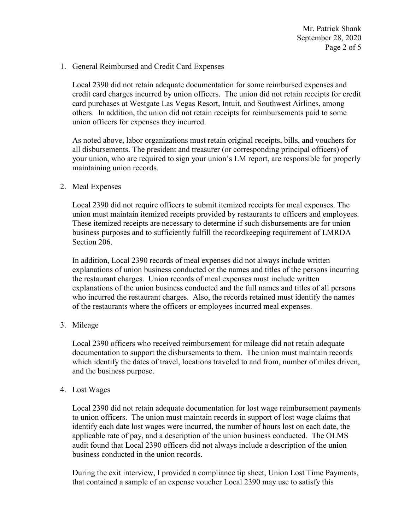1. General Reimbursed and Credit Card Expenses

Local 2390 did not retain adequate documentation for some reimbursed expenses and credit card charges incurred by union officers. The union did not retain receipts for credit card purchases at Westgate Las Vegas Resort, Intuit, and Southwest Airlines, among others. In addition, the union did not retain receipts for reimbursements paid to some union officers for expenses they incurred.

As noted above, labor organizations must retain original receipts, bills, and vouchers for all disbursements. The president and treasurer (or corresponding principal officers) of your union, who are required to sign your union's LM report, are responsible for properly maintaining union records.

2. Meal Expenses

Local 2390 did not require officers to submit itemized receipts for meal expenses. The union must maintain itemized receipts provided by restaurants to officers and employees. These itemized receipts are necessary to determine if such disbursements are for union business purposes and to sufficiently fulfill the recordkeeping requirement of LMRDA Section 206.

In addition, Local 2390 records of meal expenses did not always include written explanations of union business conducted or the names and titles of the persons incurring the restaurant charges. Union records of meal expenses must include written explanations of the union business conducted and the full names and titles of all persons who incurred the restaurant charges. Also, the records retained must identify the names of the restaurants where the officers or employees incurred meal expenses.

3. Mileage

Local 2390 officers who received reimbursement for mileage did not retain adequate documentation to support the disbursements to them. The union must maintain records which identify the dates of travel, locations traveled to and from, number of miles driven, and the business purpose.

## 4. Lost Wages

Local 2390 did not retain adequate documentation for lost wage reimbursement payments to union officers. The union must maintain records in support of lost wage claims that identify each date lost wages were incurred, the number of hours lost on each date, the applicable rate of pay, and a description of the union business conducted. The OLMS audit found that Local 2390 officers did not always include a description of the union business conducted in the union records.

During the exit interview, I provided a compliance tip sheet, Union Lost Time Payments, that contained a sample of an expense voucher Local 2390 may use to satisfy this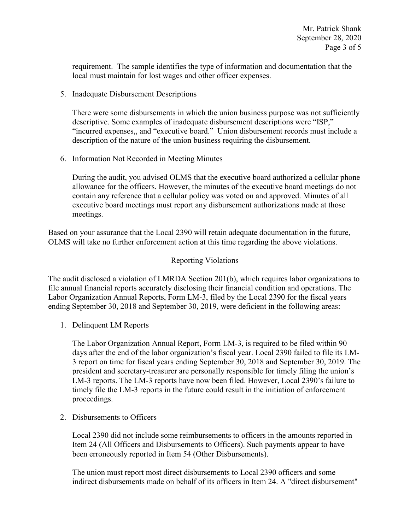requirement. The sample identifies the type of information and documentation that the local must maintain for lost wages and other officer expenses.

5. Inadequate Disbursement Descriptions

There were some disbursements in which the union business purpose was not sufficiently descriptive. Some examples of inadequate disbursement descriptions were "ISP," "incurred expenses,, and "executive board." Union disbursement records must include a description of the nature of the union business requiring the disbursement.

6. Information Not Recorded in Meeting Minutes

During the audit, you advised OLMS that the executive board authorized a cellular phone allowance for the officers. However, the minutes of the executive board meetings do not contain any reference that a cellular policy was voted on and approved. Minutes of all executive board meetings must report any disbursement authorizations made at those meetings.

Based on your assurance that the Local 2390 will retain adequate documentation in the future, OLMS will take no further enforcement action at this time regarding the above violations.

## Reporting Violations

The audit disclosed a violation of LMRDA Section 201(b), which requires labor organizations to file annual financial reports accurately disclosing their financial condition and operations. The Labor Organization Annual Reports, Form LM-3, filed by the Local 2390 for the fiscal years ending September 30, 2018 and September 30, 2019, were deficient in the following areas:

1. Delinquent LM Reports

The Labor Organization Annual Report, Form LM-3, is required to be filed within 90 days after the end of the labor organization's fiscal year. Local 2390 failed to file its LM-3 report on time for fiscal years ending September 30, 2018 and September 30, 2019. The president and secretary-treasurer are personally responsible for timely filing the union's LM-3 reports. The LM-3 reports have now been filed. However, Local 2390's failure to timely file the LM-3 reports in the future could result in the initiation of enforcement proceedings.

2. Disbursements to Officers

Local 2390 did not include some reimbursements to officers in the amounts reported in Item 24 (All Officers and Disbursements to Officers). Such payments appear to have been erroneously reported in Item 54 (Other Disbursements).

The union must report most direct disbursements to Local 2390 officers and some indirect disbursements made on behalf of its officers in Item 24. A "direct disbursement"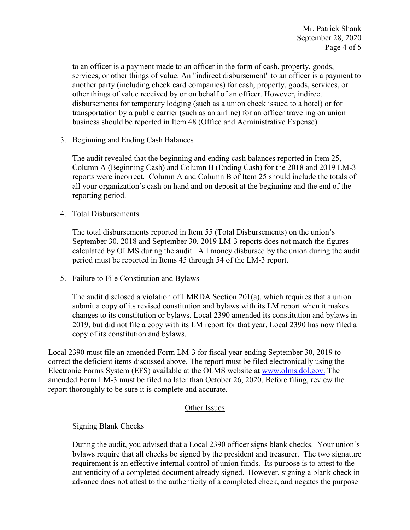to an officer is a payment made to an officer in the form of cash, property, goods, services, or other things of value. An "indirect disbursement" to an officer is a payment to another party (including check card companies) for cash, property, goods, services, or other things of value received by or on behalf of an officer. However, indirect disbursements for temporary lodging (such as a union check issued to a hotel) or for transportation by a public carrier (such as an airline) for an officer traveling on union business should be reported in Item 48 (Office and Administrative Expense).

3. Beginning and Ending Cash Balances

The audit revealed that the beginning and ending cash balances reported in Item 25, Column A (Beginning Cash) and Column B (Ending Cash) for the 2018 and 2019 LM-3 reports were incorrect. Column A and Column B of Item 25 should include the totals of all your organization's cash on hand and on deposit at the beginning and the end of the reporting period.

4. Total Disbursements

The total disbursements reported in Item 55 (Total Disbursements) on the union's September 30, 2018 and September 30, 2019 LM-3 reports does not match the figures calculated by OLMS during the audit. All money disbursed by the union during the audit period must be reported in Items 45 through 54 of the LM-3 report.

5. Failure to File Constitution and Bylaws

The audit disclosed a violation of LMRDA Section 201(a), which requires that a union submit a copy of its revised constitution and bylaws with its LM report when it makes changes to its constitution or bylaws. Local 2390 amended its constitution and bylaws in 2019, but did not file a copy with its LM report for that year. Local 2390 has now filed a copy of its constitution and bylaws.

Local 2390 must file an amended Form LM-3 for fiscal year ending September 30, 2019 to correct the deficient items discussed above. The report must be filed electronically using the Electronic Forms System (EFS) available at the OLMS website at [www.olms.dol.gov.](www.olms.dol.gov) The amended Form LM-3 must be filed no later than October 26, 2020. Before filing, review the report thoroughly to be sure it is complete and accurate.

## Other Issues

Signing Blank Checks

During the audit, you advised that a Local 2390 officer signs blank checks. Your union's bylaws require that all checks be signed by the president and treasurer. The two signature requirement is an effective internal control of union funds. Its purpose is to attest to the authenticity of a completed document already signed. However, signing a blank check in advance does not attest to the authenticity of a completed check, and negates the purpose